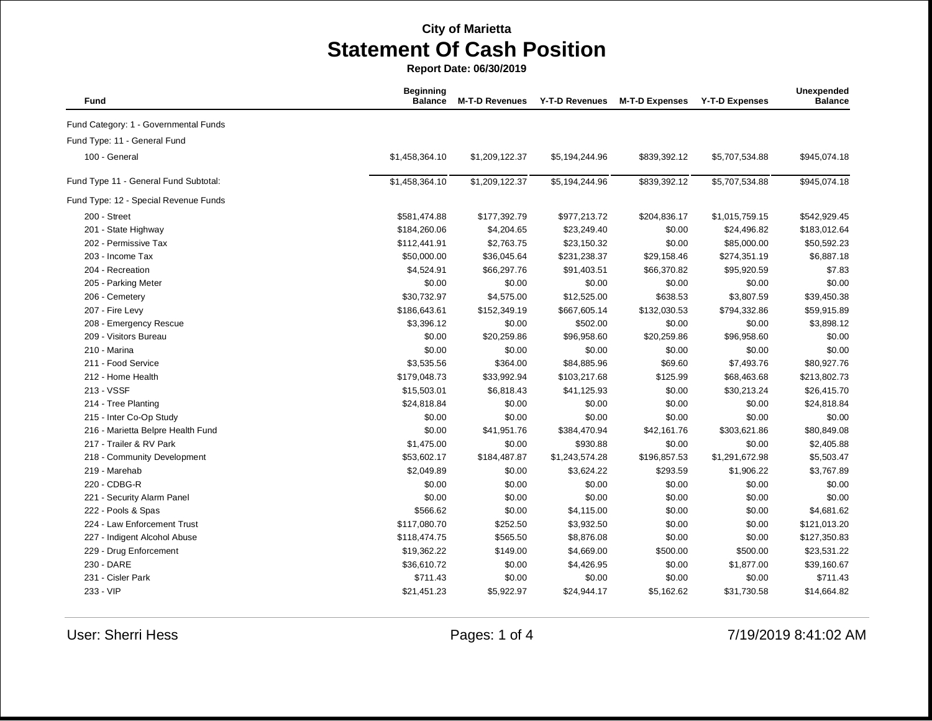| Fund                                  | <b>Beginning</b><br><b>Balance</b> | <b>M-T-D Revenues</b> | <b>Y-T-D Revenues</b> | <b>M-T-D Expenses</b> | <b>Y-T-D Expenses</b> | Unexpended<br><b>Balance</b> |
|---------------------------------------|------------------------------------|-----------------------|-----------------------|-----------------------|-----------------------|------------------------------|
| Fund Category: 1 - Governmental Funds |                                    |                       |                       |                       |                       |                              |
| Fund Type: 11 - General Fund          |                                    |                       |                       |                       |                       |                              |
| 100 - General                         | \$1,458,364.10                     | \$1,209,122.37        | \$5,194,244.96        | \$839,392.12          | \$5,707,534.88        | \$945,074.18                 |
| Fund Type 11 - General Fund Subtotal: | \$1,458,364.10                     | \$1,209,122.37        | \$5,194,244.96        | \$839,392.12          | \$5,707,534.88        | \$945,074.18                 |
| Fund Type: 12 - Special Revenue Funds |                                    |                       |                       |                       |                       |                              |
| 200 - Street                          | \$581,474.88                       | \$177,392.79          | \$977,213.72          | \$204,836.17          | \$1,015,759.15        | \$542,929.45                 |
| 201 - State Highway                   | \$184,260.06                       | \$4,204.65            | \$23,249.40           | \$0.00                | \$24,496.82           | \$183,012.64                 |
| 202 - Permissive Tax                  | \$112,441.91                       | \$2,763.75            | \$23,150.32           | \$0.00                | \$85,000.00           | \$50,592.23                  |
| 203 - Income Tax                      | \$50,000.00                        | \$36,045.64           | \$231,238.37          | \$29,158.46           | \$274,351.19          | \$6,887.18                   |
| 204 - Recreation                      | \$4,524.91                         | \$66,297.76           | \$91,403.51           | \$66,370.82           | \$95,920.59           | \$7.83                       |
| 205 - Parking Meter                   | \$0.00                             | \$0.00                | \$0.00                | \$0.00                | \$0.00                | \$0.00                       |
| 206 - Cemetery                        | \$30,732.97                        | \$4,575.00            | \$12,525.00           | \$638.53              | \$3,807.59            | \$39,450.38                  |
| 207 - Fire Levy                       | \$186,643.61                       | \$152,349.19          | \$667,605.14          | \$132,030.53          | \$794,332.86          | \$59,915.89                  |
| 208 - Emergency Rescue                | \$3,396.12                         | \$0.00                | \$502.00              | \$0.00                | \$0.00                | \$3,898.12                   |
| 209 - Visitors Bureau                 | \$0.00                             | \$20,259.86           | \$96,958.60           | \$20,259.86           | \$96,958.60           | \$0.00                       |
| 210 - Marina                          | \$0.00                             | \$0.00                | \$0.00                | \$0.00                | \$0.00                | \$0.00                       |
| 211 - Food Service                    | \$3,535.56                         | \$364.00              | \$84,885.96           | \$69.60               | \$7,493.76            | \$80,927.76                  |
| 212 - Home Health                     | \$179,048.73                       | \$33,992.94           | \$103,217.68          | \$125.99              | \$68,463.68           | \$213,802.73                 |
| 213 - VSSF                            | \$15,503.01                        | \$6,818.43            | \$41,125.93           | \$0.00                | \$30,213.24           | \$26,415.70                  |
| 214 - Tree Planting                   | \$24,818.84                        | \$0.00                | \$0.00                | \$0.00                | \$0.00                | \$24,818.84                  |
| 215 - Inter Co-Op Study               | \$0.00                             | \$0.00                | \$0.00                | \$0.00                | \$0.00                | \$0.00                       |
| 216 - Marietta Belpre Health Fund     | \$0.00                             | \$41,951.76           | \$384,470.94          | \$42,161.76           | \$303,621.86          | \$80,849.08                  |
| 217 - Trailer & RV Park               | \$1,475.00                         | \$0.00                | \$930.88              | \$0.00                | \$0.00                | \$2,405.88                   |
| 218 - Community Development           | \$53,602.17                        | \$184,487.87          | \$1,243,574.28        | \$196,857.53          | \$1,291,672.98        | \$5,503.47                   |
| 219 - Marehab                         | \$2,049.89                         | \$0.00                | \$3,624.22            | \$293.59              | \$1,906.22            | \$3,767.89                   |
| 220 - CDBG-R                          | \$0.00                             | \$0.00                | \$0.00                | \$0.00                | \$0.00                | \$0.00                       |
| 221 - Security Alarm Panel            | \$0.00                             | \$0.00                | \$0.00                | \$0.00                | \$0.00                | \$0.00                       |
| 222 - Pools & Spas                    | \$566.62                           | \$0.00                | \$4,115.00            | \$0.00                | \$0.00                | \$4,681.62                   |
| 224 - Law Enforcement Trust           | \$117,080.70                       | \$252.50              | \$3,932.50            | \$0.00                | \$0.00                | \$121,013.20                 |
| 227 - Indigent Alcohol Abuse          | \$118,474.75                       | \$565.50              | \$8,876.08            | \$0.00                | \$0.00                | \$127,350.83                 |
| 229 - Drug Enforcement                | \$19,362.22                        | \$149.00              | \$4,669.00            | \$500.00              | \$500.00              | \$23,531.22                  |
| 230 - DARE                            | \$36,610.72                        | \$0.00                | \$4,426.95            | \$0.00                | \$1,877.00            | \$39,160.67                  |
| 231 - Cisler Park                     | \$711.43                           | \$0.00                | \$0.00                | \$0.00                | \$0.00                | \$711.43                     |
| 233 - VIP                             | \$21,451.23                        | \$5,922.97            | \$24,944.17           | \$5,162.62            | \$31,730.58           | \$14,664.82                  |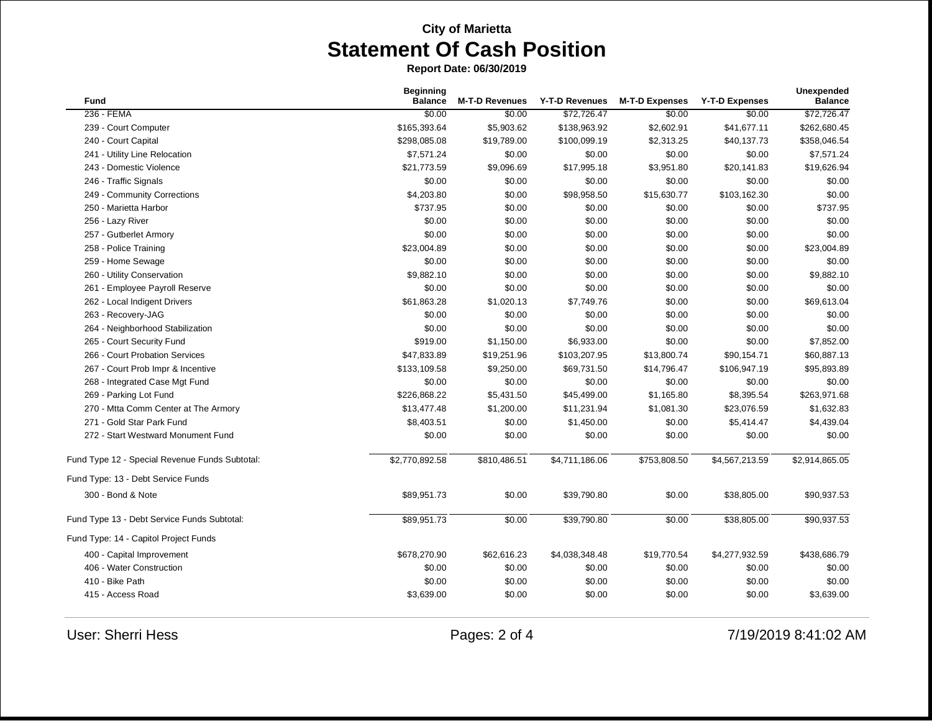| <b>Fund</b>                                    | <b>Beginning</b><br><b>Balance</b> | <b>M-T-D Revenues</b> | <b>Y-T-D Revenues</b> | <b>M-T-D Expenses</b> | <b>Y-T-D Expenses</b> | <b>Unexpended</b><br><b>Balance</b> |
|------------------------------------------------|------------------------------------|-----------------------|-----------------------|-----------------------|-----------------------|-------------------------------------|
| 236 - FEMA                                     | \$0.00                             | \$0.00                | \$72,726.47           | \$0.00                | \$0.00                | \$72,726.47                         |
| 239 - Court Computer                           | \$165,393.64                       | \$5,903.62            | \$138,963.92          | \$2,602.91            | \$41,677.11           | \$262,680.45                        |
| 240 - Court Capital                            | \$298,085.08                       | \$19,789.00           | \$100,099.19          | \$2,313.25            | \$40,137.73           | \$358,046.54                        |
| 241 - Utility Line Relocation                  | \$7,571.24                         | \$0.00                | \$0.00                | \$0.00                | \$0.00                | \$7,571.24                          |
| 243 - Domestic Violence                        | \$21,773.59                        | \$9,096.69            | \$17,995.18           | \$3,951.80            | \$20,141.83           | \$19,626.94                         |
| 246 - Traffic Signals                          | \$0.00                             | \$0.00                | \$0.00                | \$0.00                | \$0.00                | \$0.00                              |
| 249 - Community Corrections                    | \$4,203.80                         | \$0.00                | \$98,958.50           | \$15,630.77           | \$103,162.30          | \$0.00                              |
| 250 - Marietta Harbor                          | \$737.95                           | \$0.00                | \$0.00                | \$0.00                | \$0.00                | \$737.95                            |
| 256 - Lazy River                               | \$0.00                             | \$0.00                | \$0.00                | \$0.00                | \$0.00                | \$0.00                              |
| 257 - Gutberlet Armory                         | \$0.00                             | \$0.00                | \$0.00                | \$0.00                | \$0.00                | \$0.00                              |
| 258 - Police Training                          | \$23,004.89                        | \$0.00                | \$0.00                | \$0.00                | \$0.00                | \$23,004.89                         |
| 259 - Home Sewage                              | \$0.00                             | \$0.00                | \$0.00                | \$0.00                | \$0.00                | \$0.00                              |
| 260 - Utility Conservation                     | \$9,882.10                         | \$0.00                | \$0.00                | \$0.00                | \$0.00                | \$9,882.10                          |
| 261 - Employee Payroll Reserve                 | \$0.00                             | \$0.00                | \$0.00                | \$0.00                | \$0.00                | \$0.00                              |
| 262 - Local Indigent Drivers                   | \$61,863.28                        | \$1,020.13            | \$7,749.76            | \$0.00                | \$0.00                | \$69,613.04                         |
| 263 - Recovery-JAG                             | \$0.00                             | \$0.00                | \$0.00                | \$0.00                | \$0.00                | \$0.00                              |
| 264 - Neighborhood Stabilization               | \$0.00                             | \$0.00                | \$0.00                | \$0.00                | \$0.00                | \$0.00                              |
| 265 - Court Security Fund                      | \$919.00                           | \$1,150.00            | \$6,933.00            | \$0.00                | \$0.00                | \$7,852.00                          |
| 266 - Court Probation Services                 | \$47,833.89                        | \$19,251.96           | \$103,207.95          | \$13,800.74           | \$90,154.71           | \$60,887.13                         |
| 267 - Court Prob Impr & Incentive              | \$133,109.58                       | \$9,250.00            | \$69,731.50           | \$14,796.47           | \$106,947.19          | \$95,893.89                         |
| 268 - Integrated Case Mgt Fund                 | \$0.00                             | \$0.00                | \$0.00                | \$0.00                | \$0.00                | \$0.00                              |
| 269 - Parking Lot Fund                         | \$226,868.22                       | \$5,431.50            | \$45,499.00           | \$1,165.80            | \$8,395.54            | \$263,971.68                        |
| 270 - Mtta Comm Center at The Armory           | \$13,477.48                        | \$1,200.00            | \$11,231.94           | \$1,081.30            | \$23,076.59           | \$1,632.83                          |
| 271 - Gold Star Park Fund                      | \$8,403.51                         | \$0.00                | \$1,450.00            | \$0.00                | \$5,414.47            | \$4,439.04                          |
| 272 - Start Westward Monument Fund             | \$0.00                             | \$0.00                | \$0.00                | \$0.00                | \$0.00                | \$0.00                              |
| Fund Type 12 - Special Revenue Funds Subtotal: | \$2,770,892.58                     | \$810,486.51          | \$4,711,186.06        | \$753,808.50          | \$4,567,213.59        | \$2,914,865.05                      |
| Fund Type: 13 - Debt Service Funds             |                                    |                       |                       |                       |                       |                                     |
| 300 - Bond & Note                              | \$89,951.73                        | \$0.00                | \$39,790.80           | \$0.00                | \$38,805.00           | \$90,937.53                         |
| Fund Type 13 - Debt Service Funds Subtotal:    | \$89,951.73                        | \$0.00                | \$39,790.80           | \$0.00                | \$38,805.00           | \$90,937.53                         |
| Fund Type: 14 - Capitol Project Funds          |                                    |                       |                       |                       |                       |                                     |
| 400 - Capital Improvement                      | \$678,270.90                       | \$62,616.23           | \$4,038,348.48        | \$19,770.54           | \$4,277,932.59        | \$438,686.79                        |
| 406 - Water Construction                       | \$0.00                             | \$0.00                | \$0.00                | \$0.00                | \$0.00                | \$0.00                              |
| 410 - Bike Path                                | \$0.00                             | \$0.00                | \$0.00                | \$0.00                | \$0.00                | \$0.00                              |
| 415 - Access Road                              | \$3,639.00                         | \$0.00                | \$0.00                | \$0.00                | \$0.00                | \$3,639.00                          |
|                                                |                                    |                       |                       |                       |                       |                                     |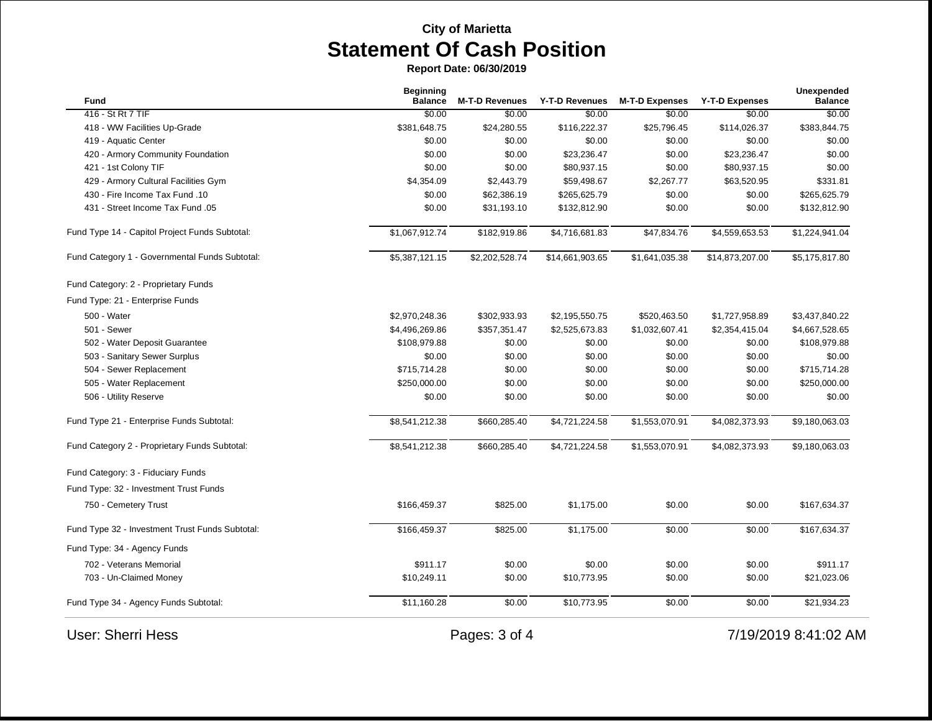| Fund                                            | <b>Beginning</b><br><b>Balance</b> | <b>M-T-D Revenues</b> | Y-T-D Revenues  | <b>M-T-D Expenses</b> | <b>Y-T-D Expenses</b> | <b>Unexpended</b><br><b>Balance</b> |
|-------------------------------------------------|------------------------------------|-----------------------|-----------------|-----------------------|-----------------------|-------------------------------------|
| 416 - St Rt 7 TIF                               | \$0.00                             | \$0.00                | \$0.00          | \$0.00                | \$0.00                | \$0.00                              |
| 418 - WW Facilities Up-Grade                    | \$381,648.75                       | \$24,280.55           | \$116,222.37    | \$25,796.45           | \$114,026.37          | \$383,844.75                        |
| 419 - Aquatic Center                            | \$0.00                             | \$0.00                | \$0.00          | \$0.00                | \$0.00                | \$0.00                              |
| 420 - Armory Community Foundation               | \$0.00                             | \$0.00                | \$23,236.47     | \$0.00                | \$23,236.47           | \$0.00                              |
| 421 - 1st Colony TIF                            | \$0.00                             | \$0.00                | \$80,937.15     | \$0.00                | \$80,937.15           | \$0.00                              |
| 429 - Armory Cultural Facilities Gym            | \$4,354.09                         | \$2,443.79            | \$59,498.67     | \$2,267.77            | \$63,520.95           | \$331.81                            |
| 430 - Fire Income Tax Fund .10                  | \$0.00                             | \$62,386.19           | \$265,625.79    | \$0.00                | \$0.00                | \$265,625.79                        |
| 431 - Street Income Tax Fund .05                | \$0.00                             | \$31,193.10           | \$132,812.90    | \$0.00                | \$0.00                | \$132,812.90                        |
| Fund Type 14 - Capitol Project Funds Subtotal:  | \$1,067,912.74                     | \$182,919.86          | \$4,716,681.83  | \$47,834.76           | \$4,559,653.53        | \$1,224,941.04                      |
| Fund Category 1 - Governmental Funds Subtotal:  | \$5,387,121.15                     | \$2,202,528.74        | \$14,661,903.65 | \$1,641,035.38        | \$14,873,207.00       | \$5,175,817.80                      |
| Fund Category: 2 - Proprietary Funds            |                                    |                       |                 |                       |                       |                                     |
| Fund Type: 21 - Enterprise Funds                |                                    |                       |                 |                       |                       |                                     |
| 500 - Water                                     | \$2,970,248.36                     | \$302,933.93          | \$2,195,550.75  | \$520,463.50          | \$1,727,958.89        | \$3,437,840.22                      |
| 501 - Sewer                                     | \$4,496,269.86                     | \$357,351.47          | \$2,525,673.83  | \$1,032,607.41        | \$2,354,415.04        | \$4,667,528.65                      |
| 502 - Water Deposit Guarantee                   | \$108,979.88                       | \$0.00                | \$0.00          | \$0.00                | \$0.00                | \$108,979.88                        |
| 503 - Sanitary Sewer Surplus                    | \$0.00                             | \$0.00                | \$0.00          | \$0.00                | \$0.00                | \$0.00                              |
| 504 - Sewer Replacement                         | \$715,714.28                       | \$0.00                | \$0.00          | \$0.00                | \$0.00                | \$715,714.28                        |
| 505 - Water Replacement                         | \$250,000.00                       | \$0.00                | \$0.00          | \$0.00                | \$0.00                | \$250,000.00                        |
| 506 - Utility Reserve                           | \$0.00                             | \$0.00                | \$0.00          | \$0.00                | \$0.00                | \$0.00                              |
| Fund Type 21 - Enterprise Funds Subtotal:       | \$8,541,212.38                     | \$660,285.40          | \$4,721,224.58  | \$1,553,070.91        | \$4,082,373.93        | \$9,180,063.03                      |
| Fund Category 2 - Proprietary Funds Subtotal:   | \$8,541,212.38                     | \$660,285.40          | \$4,721,224.58  | \$1,553,070.91        | \$4,082,373.93        | \$9,180,063.03                      |
| Fund Category: 3 - Fiduciary Funds              |                                    |                       |                 |                       |                       |                                     |
| Fund Type: 32 - Investment Trust Funds          |                                    |                       |                 |                       |                       |                                     |
| 750 - Cemetery Trust                            | \$166,459.37                       | \$825.00              | \$1,175.00      | \$0.00                | \$0.00                | \$167,634.37                        |
| Fund Type 32 - Investment Trust Funds Subtotal: | \$166,459.37                       | \$825.00              | \$1,175.00      | \$0.00                | \$0.00                | \$167,634.37                        |
| Fund Type: 34 - Agency Funds                    |                                    |                       |                 |                       |                       |                                     |
| 702 - Veterans Memorial                         | \$911.17                           | \$0.00                | \$0.00          | \$0.00                | \$0.00                | \$911.17                            |
| 703 - Un-Claimed Money                          | \$10,249.11                        | \$0.00                | \$10,773.95     | \$0.00                | \$0.00                | \$21,023.06                         |
| Fund Type 34 - Agency Funds Subtotal:           | \$11,160.28                        | \$0.00                | \$10,773.95     | \$0.00                | \$0.00                | \$21,934.23                         |
| <b>User: Sherri Hess</b>                        |                                    | Pages: 3 of 4         |                 |                       |                       | 7/19/2019 8:41:02 AM                |